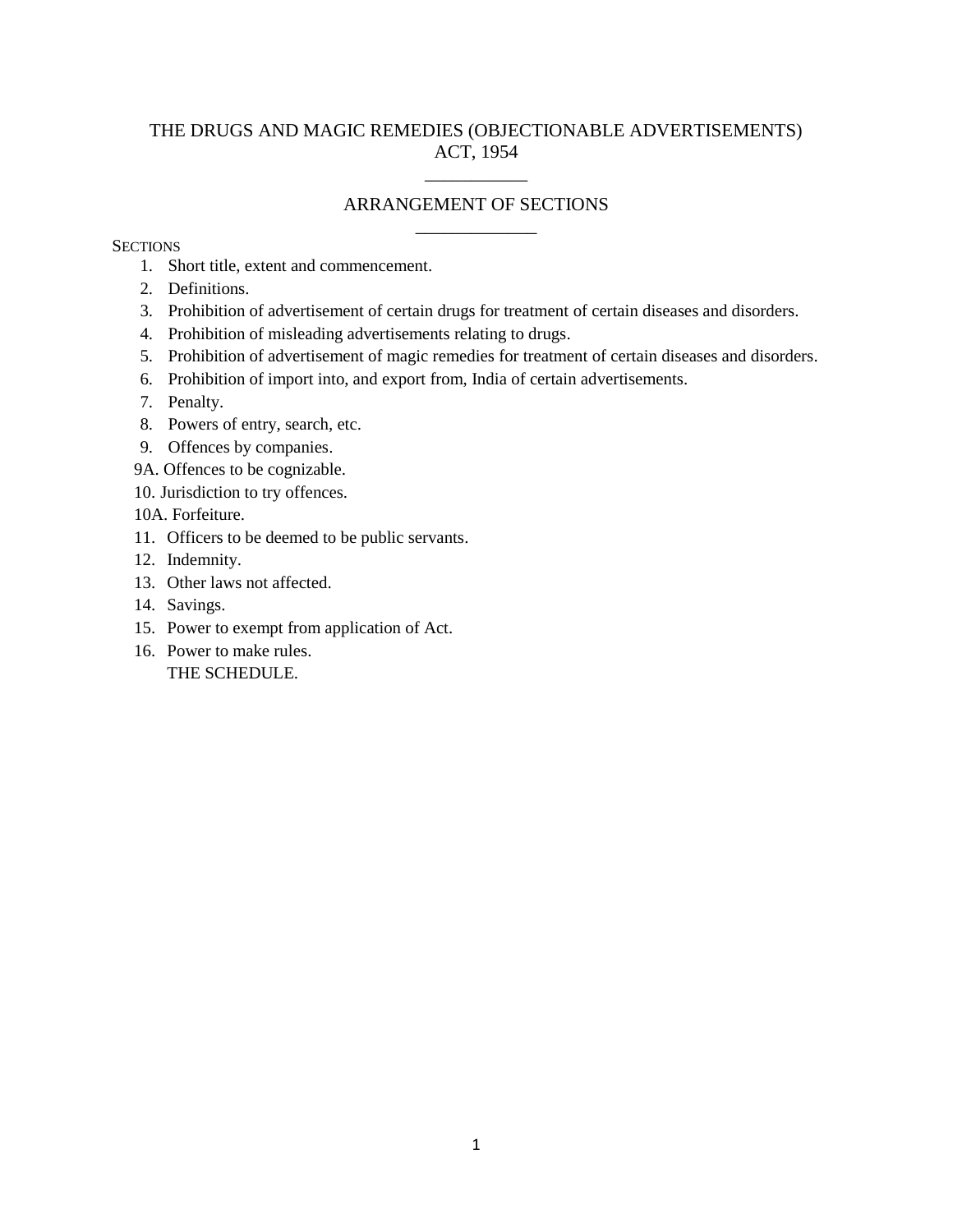## THE DRUGS AND MAGIC REMEDIES (OBJECTIONABLE ADVERTISEMENTS) ACT, 1954

# \_\_\_\_\_\_\_\_\_\_\_ ARRANGEMENT OF SECTIONS \_\_\_\_\_\_\_\_\_\_\_\_\_

#### **SECTIONS**

- 1. Short title, extent and commencement.
- 2. Definitions.
- 3. Prohibition of advertisement of certain drugs for treatment of certain diseases and disorders.
- 4. Prohibition of misleading advertisements relating to drugs.
- 5. Prohibition of advertisement of magic remedies for treatment of certain diseases and disorders.
- 6. Prohibition of import into, and export from, India of certain advertisements.
- 7. Penalty.
- 8. Powers of entry, search, etc.
- 9. Offences by companies.
- 9A. Offences to be cognizable.
- 10. Jurisdiction to try offences.
- 10A. Forfeiture.
- 11. Officers to be deemed to be public servants.
- 12. Indemnity.
- 13. Other laws not affected.
- 14. Savings.
- 15. Power to exempt from application of Act.
- 16. Power to make rules. THE SCHEDULE.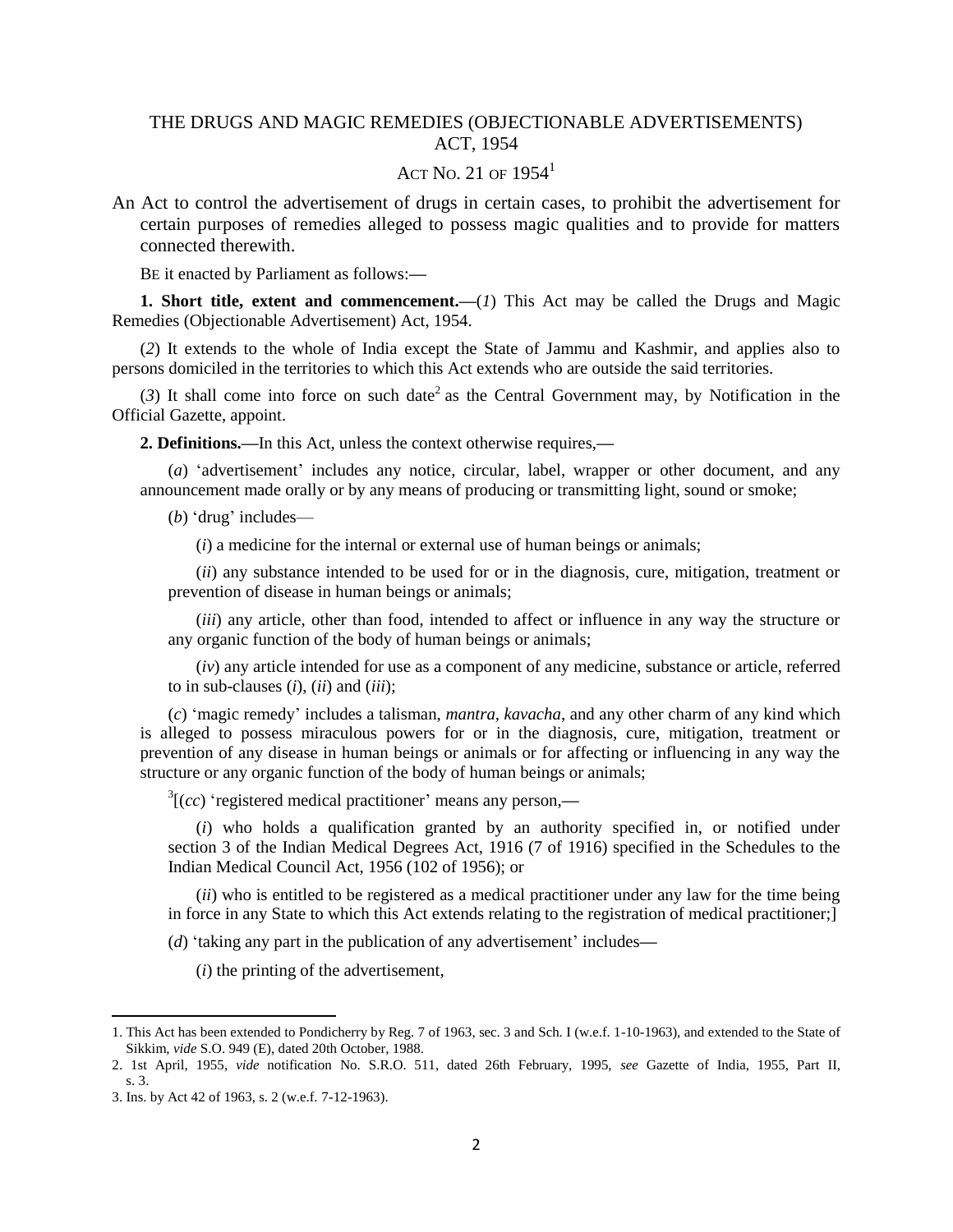## THE DRUGS AND MAGIC REMEDIES (OBJECTIONABLE ADVERTISEMENTS) ACT, 1954

### ACT NO. 21 OF  $1954<sup>1</sup>$

An Act to control the advertisement of drugs in certain cases, to prohibit the advertisement for certain purposes of remedies alleged to possess magic qualities and to provide for matters connected therewith.

BE it enacted by Parliament as follows:**—**

**1. Short title, extent and commencement.**—(*1*) This Act may be called the Drugs and Magic Remedies (Objectionable Advertisement) Act, 1954.

(*2*) It extends to the whole of India except the State of Jammu and Kashmir, and applies also to persons domiciled in the territories to which this Act extends who are outside the said territories.

 $(3)$  It shall come into force on such date<sup>2</sup> as the Central Government may, by Notification in the Official Gazette, appoint.

**2. Definitions.—**In this Act, unless the context otherwise requires,**—**

(*a*) 'advertisement' includes any notice, circular, label, wrapper or other document, and any announcement made orally or by any means of producing or transmitting light, sound or smoke;

(*b*) "drug" includes—

(*i*) a medicine for the internal or external use of human beings or animals;

(*ii*) any substance intended to be used for or in the diagnosis, cure, mitigation, treatment or prevention of disease in human beings or animals;

(*iii*) any article, other than food, intended to affect or influence in any way the structure or any organic function of the body of human beings or animals;

(*iv*) any article intended for use as a component of any medicine, substance or article, referred to in sub-clauses (*i*), (*ii*) and (*iii*);

(*c*) "magic remedy" includes a talisman, *mantra, kavacha*, and any other charm of any kind which is alleged to possess miraculous powers for or in the diagnosis, cure, mitigation, treatment or prevention of any disease in human beings or animals or for affecting or influencing in any way the structure or any organic function of the body of human beings or animals;

<sup>3</sup>[(*cc*) 'registered medical practitioner' means any person,—

(*i*) who holds a qualification granted by an authority specified in, or notified under section 3 of the Indian Medical Degrees Act, 1916 (7 of 1916) specified in the Schedules to the Indian Medical Council Act, 1956 (102 of 1956); or

(*ii*) who is entitled to be registered as a medical practitioner under any law for the time being in force in any State to which this Act extends relating to the registration of medical practitioner;]

(*d*) 'taking any part in the publication of any advertisement' includes—

(*i*) the printing of the advertisement,

 $\overline{\phantom{a}}$ 

<sup>1.</sup> This Act has been extended to Pondicherry by Reg. 7 of 1963, sec. 3 and Sch. I (w.e.f. 1-10-1963), and extended to the State of Sikkim, *vide* S.O. 949 (E), dated 20th October, 1988.

<sup>2. 1</sup>st April, 1955, *vide* notification No. S.R.O. 511, dated 26th February, 1995, *see* Gazette of India, 1955, Part II, s. 3.

<sup>3.</sup> Ins. by Act 42 of 1963, s. 2 (w.e.f. 7-12-1963).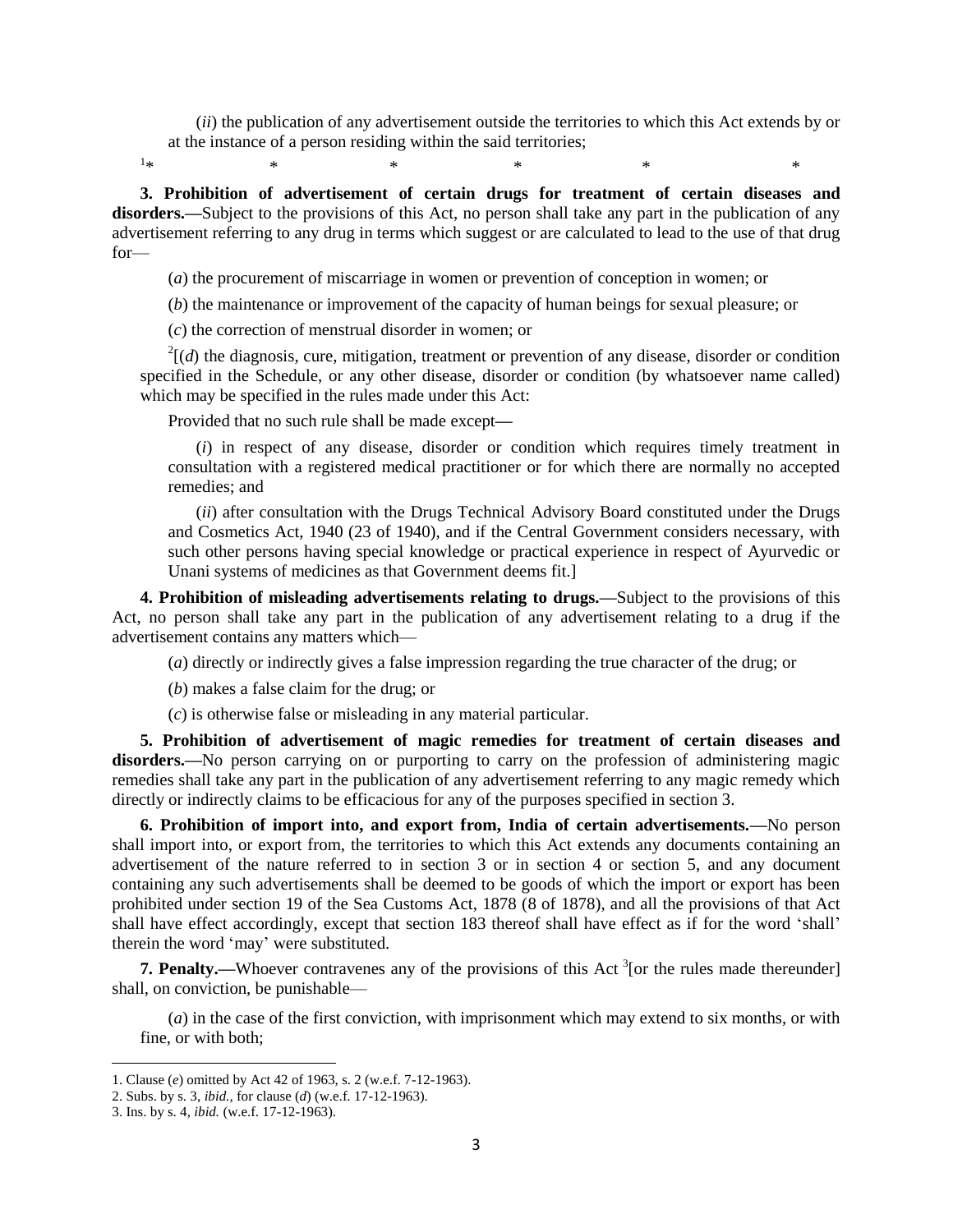(*ii*) the publication of any advertisement outside the territories to which this Act extends by or at the instance of a person residing within the said territories;

 $1_{\ast}$  $*$  \*  $*$  \*  $*$  \*  $*$  \*

**3. Prohibition of advertisement of certain drugs for treatment of certain diseases and**  disorders.—Subject to the provisions of this Act, no person shall take any part in the publication of any advertisement referring to any drug in terms which suggest or are calculated to lead to the use of that drug for—

(*a*) the procurement of miscarriage in women or prevention of conception in women; or

(*b*) the maintenance or improvement of the capacity of human beings for sexual pleasure; or

(*c*) the correction of menstrual disorder in women; or

 $^{2}$ [(*d*) the diagnosis, cure, mitigation, treatment or prevention of any disease, disorder or condition specified in the Schedule, or any other disease, disorder or condition (by whatsoever name called) which may be specified in the rules made under this Act:

Provided that no such rule shall be made except**—**

(*i*) in respect of any disease, disorder or condition which requires timely treatment in consultation with a registered medical practitioner or for which there are normally no accepted remedies; and

(*ii*) after consultation with the Drugs Technical Advisory Board constituted under the Drugs and Cosmetics Act, 1940 (23 of 1940), and if the Central Government considers necessary, with such other persons having special knowledge or practical experience in respect of Ayurvedic or Unani systems of medicines as that Government deems fit.]

**4. Prohibition of misleading advertisements relating to drugs.—**Subject to the provisions of this Act, no person shall take any part in the publication of any advertisement relating to a drug if the advertisement contains any matters which—

(*a*) directly or indirectly gives a false impression regarding the true character of the drug; or

(*b*) makes a false claim for the drug; or

(*c*) is otherwise false or misleading in any material particular.

**5. Prohibition of advertisement of magic remedies for treatment of certain diseases and**  disorders.—No person carrying on or purporting to carry on the profession of administering magic remedies shall take any part in the publication of any advertisement referring to any magic remedy which directly or indirectly claims to be efficacious for any of the purposes specified in section 3.

**6. Prohibition of import into, and export from, India of certain advertisements.—**No person shall import into, or export from, the territories to which this Act extends any documents containing an advertisement of the nature referred to in section 3 or in section 4 or section 5, and any document containing any such advertisements shall be deemed to be goods of which the import or export has been prohibited under section 19 of the Sea Customs Act, 1878 (8 of 1878), and all the provisions of that Act shall have effect accordingly, except that section 183 thereof shall have effect as if for the word "shall" therein the word "may" were substituted.

**7. Penalty.—Whoever contravenes any of the provisions of this Act<sup>3</sup> [or the rules made thereunder]** shall, on conviction, be punishable—

(*a*) in the case of the first conviction, with imprisonment which may extend to six months, or with fine, or with both;

l

<sup>1.</sup> Clause (*e*) omitted by Act 42 of 1963, s. 2 (w.e.f. 7-12-1963).

<sup>2.</sup> Subs. by s. 3, *ibid.,* for clause (*d*) (w.e.f. 17-12-1963).

<sup>3.</sup> Ins. by s. 4, *ibid.* (w.e.f. 17-12-1963).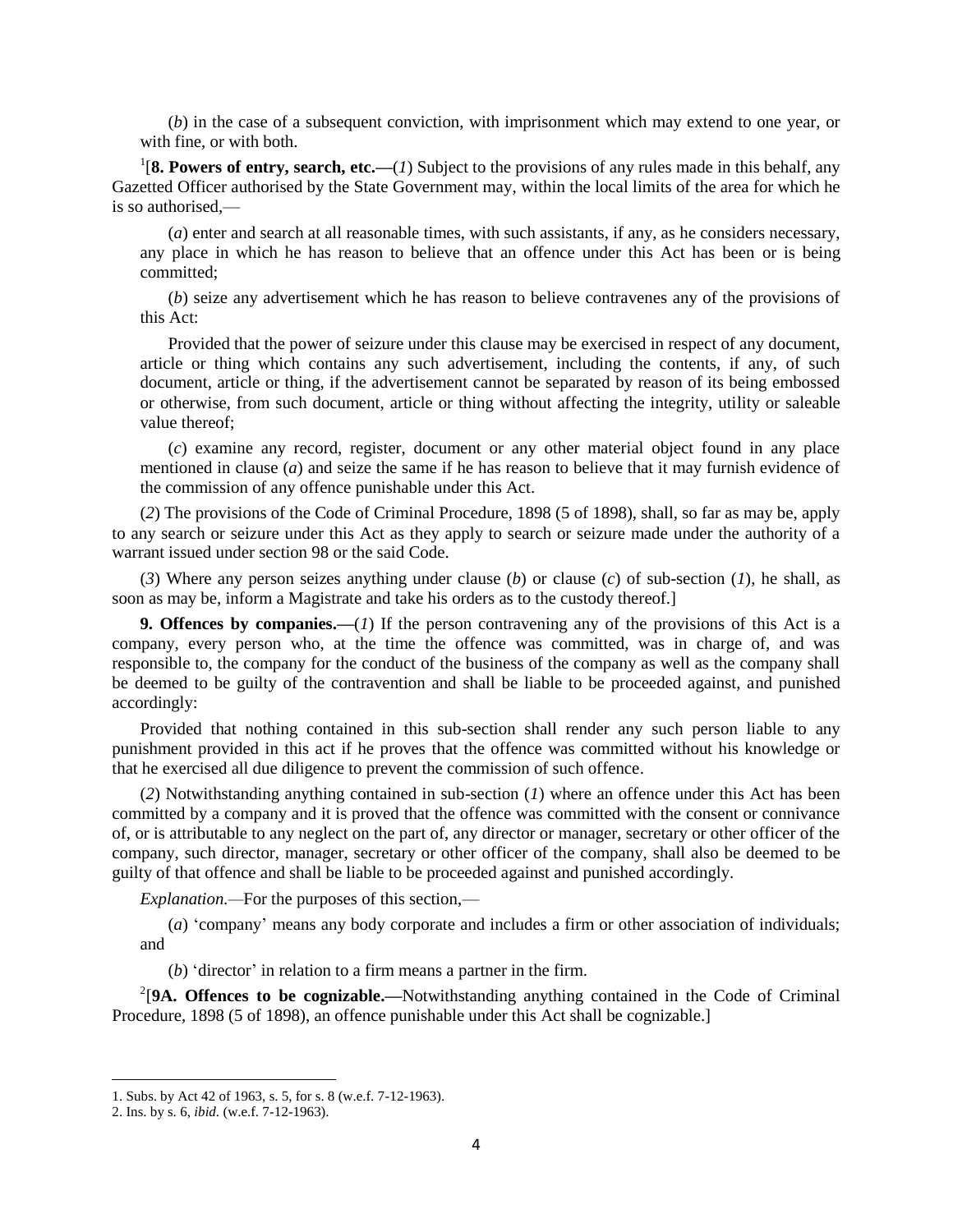(*b*) in the case of a subsequent conviction, with imprisonment which may extend to one year, or with fine, or with both.

<sup>1</sup>[8. Powers of entry, search, etc.— $(1)$  Subject to the provisions of any rules made in this behalf, any Gazetted Officer authorised by the State Government may, within the local limits of the area for which he is so authorised,—

(*a*) enter and search at all reasonable times, with such assistants, if any, as he considers necessary, any place in which he has reason to believe that an offence under this Act has been or is being committed;

(*b*) seize any advertisement which he has reason to believe contravenes any of the provisions of this Act:

Provided that the power of seizure under this clause may be exercised in respect of any document, article or thing which contains any such advertisement, including the contents, if any, of such document, article or thing, if the advertisement cannot be separated by reason of its being embossed or otherwise, from such document, article or thing without affecting the integrity, utility or saleable value thereof;

(*c*) examine any record, register, document or any other material object found in any place mentioned in clause (*a*) and seize the same if he has reason to believe that it may furnish evidence of the commission of any offence punishable under this Act.

(*2*) The provisions of the Code of Criminal Procedure, 1898 (5 of 1898), shall, so far as may be, apply to any search or seizure under this Act as they apply to search or seizure made under the authority of a warrant issued under section 98 or the said Code.

(*3*) Where any person seizes anything under clause (*b*) or clause (*c*) of sub-section (*1*), he shall, as soon as may be, inform a Magistrate and take his orders as to the custody thereof.]

**9. Offences by companies.—**(*1*) If the person contravening any of the provisions of this Act is a company, every person who, at the time the offence was committed, was in charge of, and was responsible to, the company for the conduct of the business of the company as well as the company shall be deemed to be guilty of the contravention and shall be liable to be proceeded against, and punished accordingly:

Provided that nothing contained in this sub-section shall render any such person liable to any punishment provided in this act if he proves that the offence was committed without his knowledge or that he exercised all due diligence to prevent the commission of such offence.

(*2*) Notwithstanding anything contained in sub-section (*1*) where an offence under this Act has been committed by a company and it is proved that the offence was committed with the consent or connivance of, or is attributable to any neglect on the part of, any director or manager, secretary or other officer of the company, such director, manager, secretary or other officer of the company, shall also be deemed to be guilty of that offence and shall be liable to be proceeded against and punished accordingly.

*Explanation.—*For the purposes of this section,—

(*a*) "company" means any body corporate and includes a firm or other association of individuals; and

(*b*) "director" in relation to a firm means a partner in the firm.

<sup>2</sup>[9A. Offences to be cognizable.—Notwithstanding anything contained in the Code of Criminal Procedure, 1898 (5 of 1898), an offence punishable under this Act shall be cognizable.]

 $\overline{a}$ 

<sup>1.</sup> Subs. by Act 42 of 1963, s. 5, for s. 8 (w.e.f. 7-12-1963).

<sup>2.</sup> Ins. by s. 6, *ibid*. (w.e.f. 7-12-1963).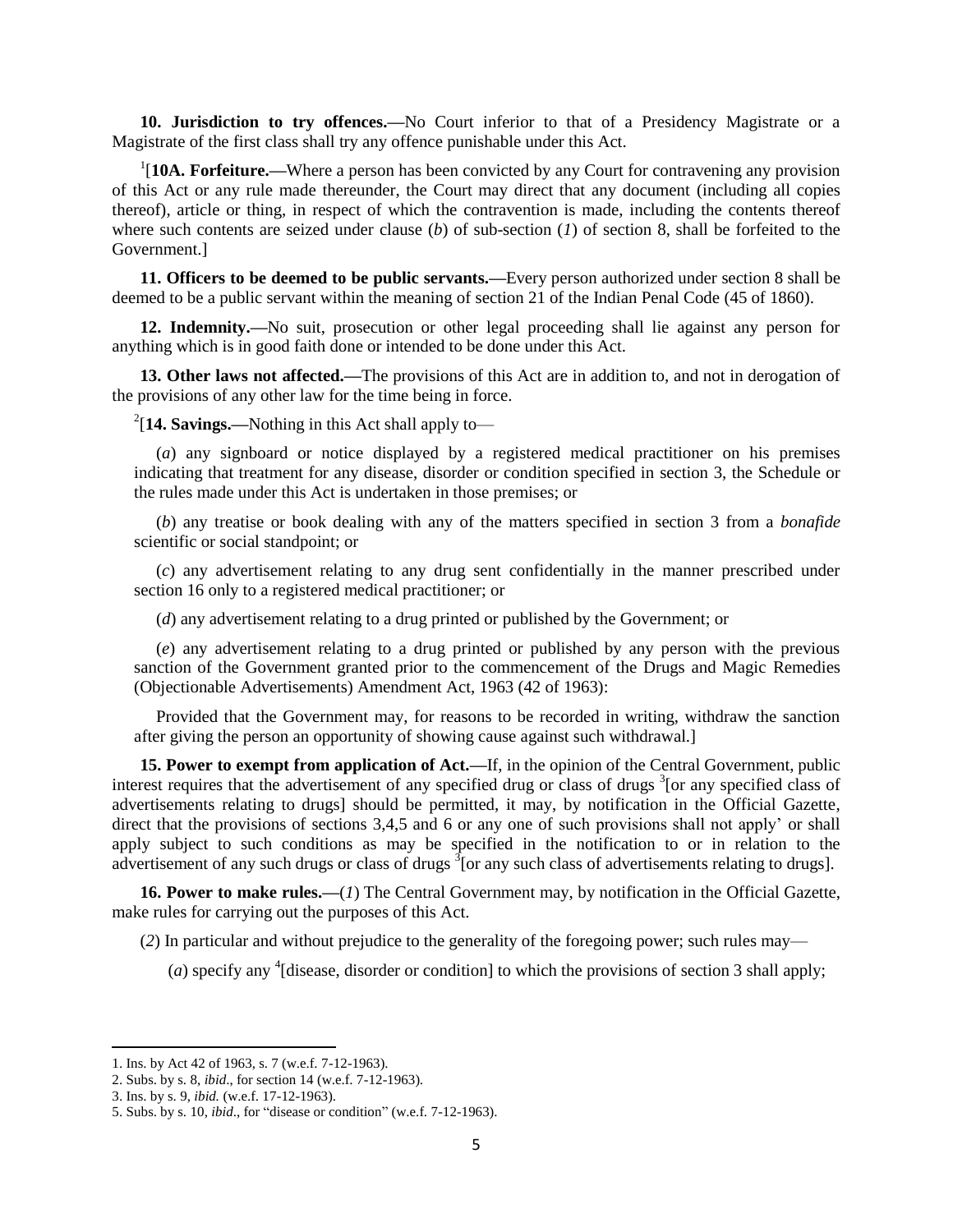**10. Jurisdiction to try offences.—**No Court inferior to that of a Presidency Magistrate or a Magistrate of the first class shall try any offence punishable under this Act.

<sup>1</sup>[10A. Forfeiture.—Where a person has been convicted by any Court for contravening any provision of this Act or any rule made thereunder, the Court may direct that any document (including all copies thereof), article or thing, in respect of which the contravention is made, including the contents thereof where such contents are seized under clause (*b*) of sub-section (*1*) of section 8, shall be forfeited to the Government.]

**11. Officers to be deemed to be public servants.—**Every person authorized under section 8 shall be deemed to be a public servant within the meaning of section 21 of the Indian Penal Code (45 of 1860).

**12. Indemnity.—**No suit, prosecution or other legal proceeding shall lie against any person for anything which is in good faith done or intended to be done under this Act.

**13. Other laws not affected.—**The provisions of this Act are in addition to, and not in derogation of the provisions of any other law for the time being in force.

2 [**14. Savings.—**Nothing in this Act shall apply to—

(*a*) any signboard or notice displayed by a registered medical practitioner on his premises indicating that treatment for any disease, disorder or condition specified in section 3, the Schedule or the rules made under this Act is undertaken in those premises; or

(*b*) any treatise or book dealing with any of the matters specified in section 3 from a *bonafide*  scientific or social standpoint; or

(*c*) any advertisement relating to any drug sent confidentially in the manner prescribed under section 16 only to a registered medical practitioner; or

(*d*) any advertisement relating to a drug printed or published by the Government; or

(*e*) any advertisement relating to a drug printed or published by any person with the previous sanction of the Government granted prior to the commencement of the Drugs and Magic Remedies (Objectionable Advertisements) Amendment Act, 1963 (42 of 1963):

Provided that the Government may, for reasons to be recorded in writing, withdraw the sanction after giving the person an opportunity of showing cause against such withdrawal.]

**15. Power to exempt from application of Act.—**If, in the opinion of the Central Government, public interest requires that the advertisement of any specified drug or class of drugs <sup>3</sup>[or any specified class of advertisements relating to drugs] should be permitted, it may, by notification in the Official Gazette, direct that the provisions of sections 3,4,5 and 6 or any one of such provisions shall not apply' or shall apply subject to such conditions as may be specified in the notification to or in relation to the advertisement of any such drugs or class of drugs  $\delta$  [or any such class of advertisements relating to drugs].

**16. Power to make rules.—**(*1*) The Central Government may, by notification in the Official Gazette, make rules for carrying out the purposes of this Act.

(*2*) In particular and without prejudice to the generality of the foregoing power; such rules may—

(*a*) specify any <sup>4</sup>[disease, disorder or condition] to which the provisions of section 3 shall apply;

 $\overline{\phantom{a}}$ 

<sup>1.</sup> Ins. by Act 42 of 1963, s. 7 (w.e.f. 7-12-1963).

<sup>2.</sup> Subs. by s. 8, *ibid*., for section 14 (w.e.f. 7-12-1963).

<sup>3.</sup> Ins. by s. 9, *ibid.* (w.e.f. 17-12-1963).

<sup>5.</sup> Subs. by s. 10, *ibid*., for "disease or condition" (w.e.f. 7-12-1963).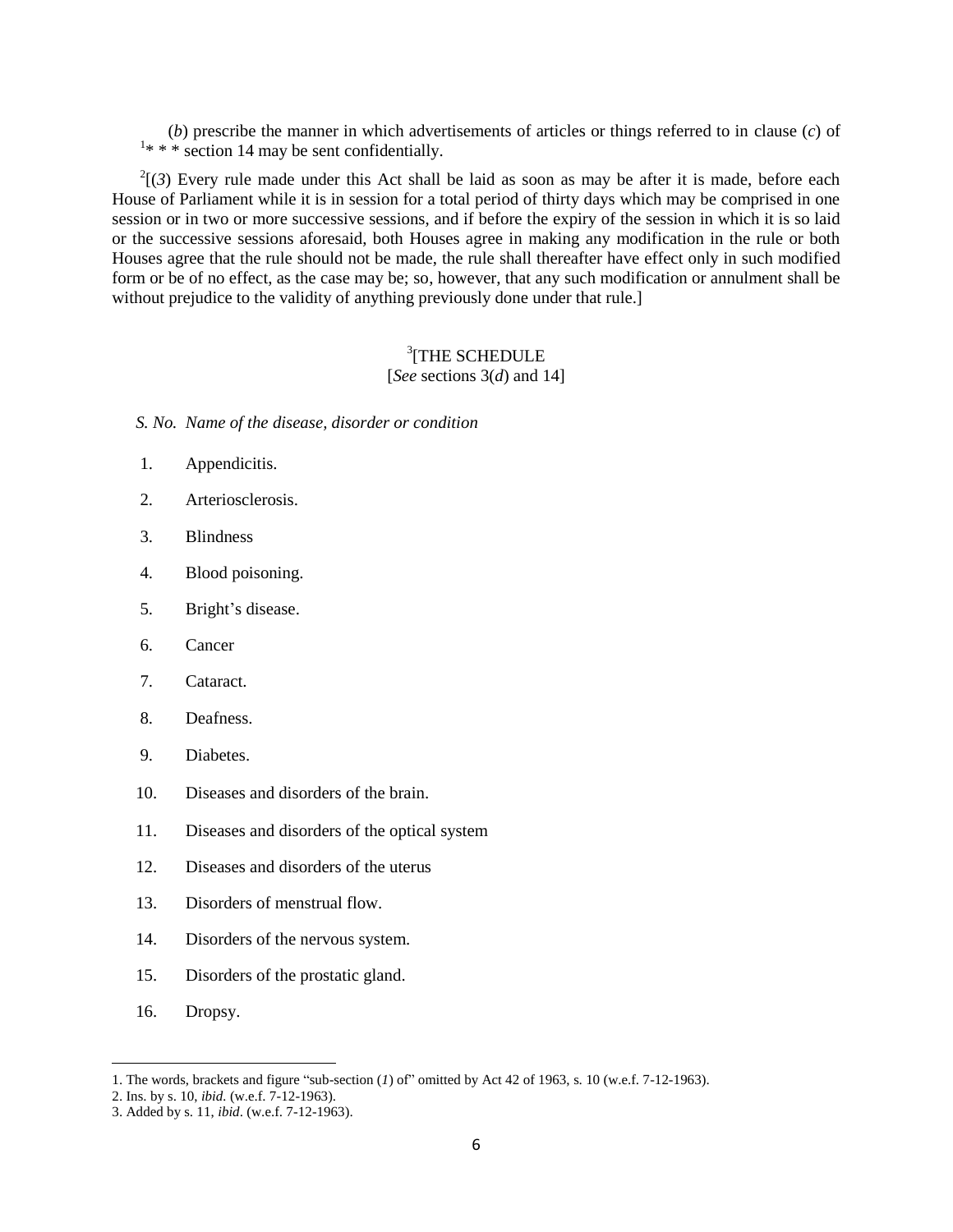(*b*) prescribe the manner in which advertisements of articles or things referred to in clause (*c*) of  $1$ <sup>\*</sup> \* \* section 14 may be sent confidentially.

 $2^{2}$ [(3) Every rule made under this Act shall be laid as soon as may be after it is made, before each House of Parliament while it is in session for a total period of thirty days which may be comprised in one session or in two or more successive sessions, and if before the expiry of the session in which it is so laid or the successive sessions aforesaid, both Houses agree in making any modification in the rule or both Houses agree that the rule should not be made, the rule shall thereafter have effect only in such modified form or be of no effect, as the case may be; so, however, that any such modification or annulment shall be without prejudice to the validity of anything previously done under that rule.

#### 3 [THE SCHEDULE [*See* sections 3(*d*) and 14]

*S. No. Name of the disease, disorder or condition*

- 1. Appendicitis.
- 2. Arteriosclerosis.
- 3. Blindness
- 4. Blood poisoning.
- 5. Bright"s disease.
- 6. Cancer
- 7. Cataract.
- 8. Deafness.
- 9. Diabetes.
- 10. Diseases and disorders of the brain.
- 11. Diseases and disorders of the optical system
- 12. Diseases and disorders of the uterus
- 13. Disorders of menstrual flow.
- 14. Disorders of the nervous system.
- 15. Disorders of the prostatic gland.
- 16. Dropsy.

l

<sup>1.</sup> The words, brackets and figure "sub-section (*1*) of" omitted by Act 42 of 1963, s. 10 (w.e.f. 7-12-1963).

<sup>2.</sup> Ins. by s. 10, *ibid.* (w.e.f. 7-12-1963).

<sup>3.</sup> Added by s. 11, *ibid*. (w.e.f. 7-12-1963).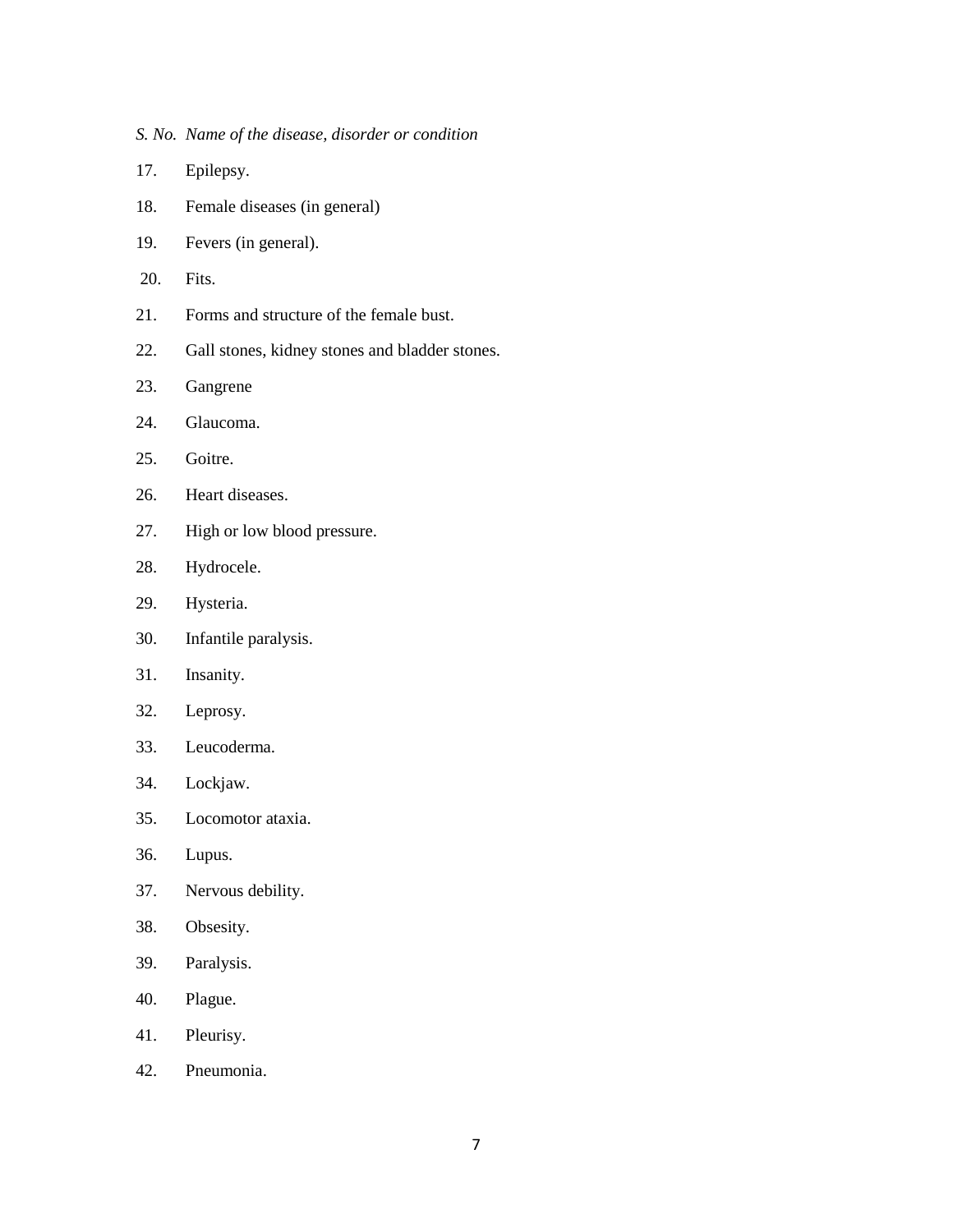- *S. No. Name of the disease, disorder or condition*
- 17. Epilepsy.
- 18. Female diseases (in general)
- 19. Fevers (in general).
- 20. Fits.
- 21. Forms and structure of the female bust.
- 22. Gall stones, kidney stones and bladder stones.
- 23. Gangrene
- 24. Glaucoma.
- 25. Goitre.
- 26. Heart diseases.
- 27. High or low blood pressure.
- 28. Hydrocele.
- 29. Hysteria.
- 30. Infantile paralysis.
- 31. Insanity.
- 32. Leprosy.
- 33. Leucoderma.
- 34. Lockjaw.
- 35. Locomotor ataxia.
- 36. Lupus.
- 37. Nervous debility.
- 38. Obsesity.
- 39. Paralysis.
- 40. Plague.
- 41. Pleurisy.
- 42. Pneumonia.